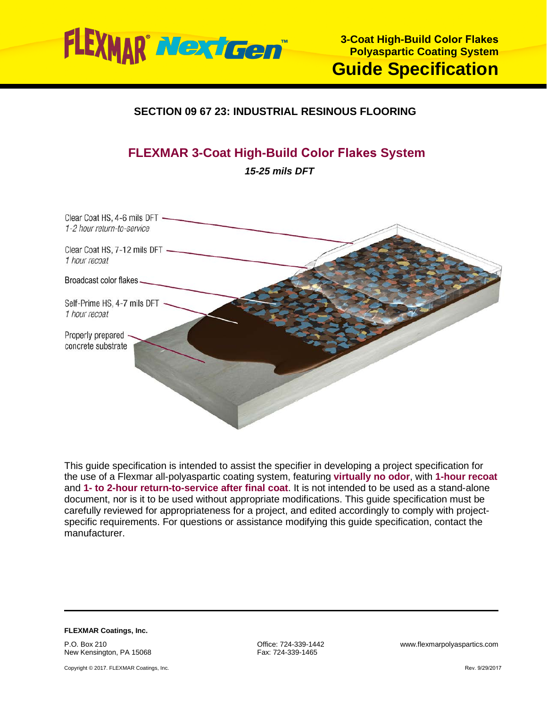

# **SECTION 09 67 23: INDUSTRIAL RESINOUS FLOORING**

# **FLEXMAR 3-Coat High-Build Color Flakes System**

*15-25 mils DFT*



This guide specification is intended to assist the specifier in developing a project specification for the use of a Flexmar all-polyaspartic coating system, featuring **virtually no odor**, with **1-hour recoat** and **1- to 2-hour return-to-service after final coat**. It is not intended to be used as a stand-alone document, nor is it to be used without appropriate modifications. This guide specification must be carefully reviewed for appropriateness for a project, and edited accordingly to comply with projectspecific requirements. For questions or assistance modifying this guide specification, contact the manufacturer.

**FLEXMAR Coatings, Inc.** P.O. Box 210

New Kensington, PA 15068

Copyright © 2017. FLEXMAR Coatings, Inc.

Fax: 724-339-1465

Office: 724-339-1442 www.flexmarpolyaspartics.com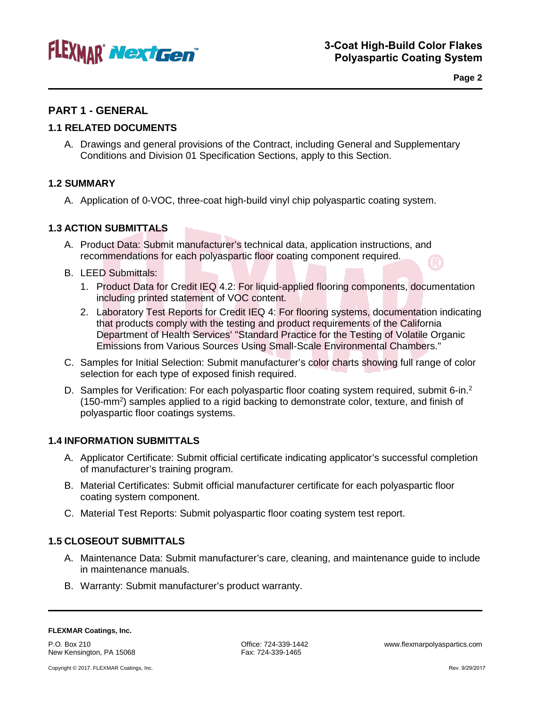

**Page 2**

# **PART 1 - GENERAL**

# **1.1 RELATED DOCUMENTS**

A. Drawings and general provisions of the Contract, including General and Supplementary Conditions and Division 01 Specification Sections, apply to this Section.

# **1.2 SUMMARY**

A. Application of 0-VOC, three-coat high-build vinyl chip polyaspartic coating system.

# **1.3 ACTION SUBMITTALS**

- A. Product Data: Submit manufacturer's technical data, application instructions, and recommendations for each polyaspartic floor coating component required.
- B. LEED Submittals:
	- 1. Product Data for Credit IEQ 4.2: For liquid-applied flooring components, documentation including printed statement of VOC content.
	- 2. Laboratory Test Reports for Credit IEQ 4: For flooring systems, documentation indicating that products comply with the testing and product requirements of the California Department of Health Services' "Standard Practice for the Testing of Volatile Organic Emissions from Various Sources Using Small-Scale Environmental Chambers."
- C. Samples for Initial Selection: Submit manufacturer's color charts showing full range of color selection for each type of exposed finish required.
- D. Samples for Verification: For each polyaspartic floor coating system required, submit 6-in.<sup>2</sup> (150-mm<sup>2</sup>) samples applied to a rigid backing to demonstrate color, texture, and finish of polyaspartic floor coatings systems.

## **1.4 INFORMATION SUBMITTALS**

- A. Applicator Certificate: Submit official certificate indicating applicator's successful completion of manufacturer's training program.
- B. Material Certificates: Submit official manufacturer certificate for each polyaspartic floor coating system component.
- C. Material Test Reports: Submit polyaspartic floor coating system test report.

## **1.5 CLOSEOUT SUBMITTALS**

- A. Maintenance Data: Submit manufacturer's care, cleaning, and maintenance guide to include in maintenance manuals.
- B. Warranty: Submit manufacturer's product warranty.

P.O. Box 210 New Kensington, PA 15068 Fax: 724-339-1465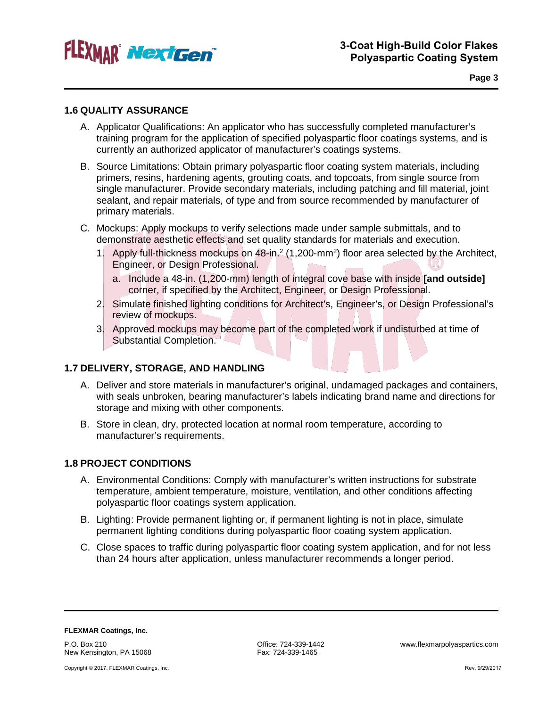

**Page 3**

## **1.6 QUALITY ASSURANCE**

- A. Applicator Qualifications: An applicator who has successfully completed manufacturer's training program for the application of specified polyaspartic floor coatings systems, and is currently an authorized applicator of manufacturer's coatings systems.
- B. Source Limitations: Obtain primary polyaspartic floor coating system materials, including primers, resins, hardening agents, grouting coats, and topcoats, from single source from single manufacturer. Provide secondary materials, including patching and fill material, joint sealant, and repair materials, of type and from source recommended by manufacturer of primary materials.
- C. Mockups: Apply mockups to verify selections made under sample submittals, and to demonstrate aesthetic effects and set quality standards for materials and execution.
	- 1. Apply full-thickness mockups on 48-in.<sup>2</sup> (1,200-mm<sup>2</sup>) floor area selected by the Architect, Engineer, or Design Professional.
		- a. Include a 48-in. (1,200-mm) length of integral cove base with inside **[and outside]** corner, if specified by the Architect, Engineer, or Design Professional.
	- 2. Simulate finished lighting conditions for Architect's, Engineer's, or Design Professional's review of mockups.
	- 3. Approved mockups may become part of the completed work if undisturbed at time of Substantial Completion.

# **1.7 DELIVERY, STORAGE, AND HANDLING**

- A. Deliver and store materials in manufacturer's original, undamaged packages and containers, with seals unbroken, bearing manufacturer's labels indicating brand name and directions for storage and mixing with other components.
- B. Store in clean, dry, protected location at normal room temperature, according to manufacturer's requirements.

# **1.8 PROJECT CONDITIONS**

- A. Environmental Conditions: Comply with manufacturer's written instructions for substrate temperature, ambient temperature, moisture, ventilation, and other conditions affecting polyaspartic floor coatings system application.
- B. Lighting: Provide permanent lighting or, if permanent lighting is not in place, simulate permanent lighting conditions during polyaspartic floor coating system application.
- C. Close spaces to traffic during polyaspartic floor coating system application, and for not less than 24 hours after application, unless manufacturer recommends a longer period.

**FLEXMAR Coatings, Inc.** P.O. Box 210 New Kensington, PA 15068

Fax: 724-339-1465

Office: 724-339-1442 www.flexmarpolyaspartics.com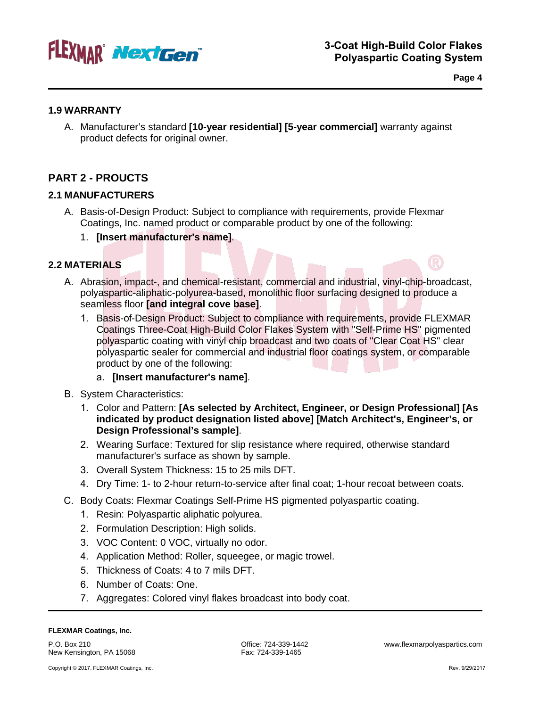

**Page 4**

# **1.9 WARRANTY**

A. Manufacturer's standard **[10-year residential] [5-year commercial]** warranty against product defects for original owner.

# **PART 2 - PROUCTS**

# **2.1 MANUFACTURERS**

- A. Basis-of-Design Product: Subject to compliance with requirements, provide Flexmar Coatings, Inc. named product or comparable product by one of the following:
	- 1. **[Insert manufacturer's name]**.

# **2.2 MATERIALS**

- A. Abrasion, impact-, and chemical-resistant, commercial and industrial, vinyl-chip-broadcast, polyaspartic-aliphatic-polyurea-based, monolithic floor surfacing designed to produce a seamless floor **[and integral cove base]**.
	- 1. Basis-of-Design Product: Subject to compliance with requirements, provide FLEXMAR Coatings Three-Coat High-Build Color Flakes System with "Self-Prime HS" pigmented polyaspartic coating with vinyl chip broadcast and two coats of "Clear Coat HS" clear polyaspartic sealer for commercial and industrial floor coatings system, or comparable product by one of the following:

# a. **[Insert manufacturer's name]**.

- B. System Characteristics:
	- 1. Color and Pattern: **[As selected by Architect, Engineer, or Design Professional] [As indicated by product designation listed above] [Match Architect's, Engineer's, or Design Professional's sample]**.
	- 2. Wearing Surface: Textured for slip resistance where required, otherwise standard manufacturer's surface as shown by sample.
	- 3. Overall System Thickness: 15 to 25 mils DFT.
	- 4. Dry Time: 1- to 2-hour return-to-service after final coat; 1-hour recoat between coats.
- C. Body Coats: Flexmar Coatings Self-Prime HS pigmented polyaspartic coating.
	- 1. Resin: Polyaspartic aliphatic polyurea.
	- 2. Formulation Description: High solids.
	- 3. VOC Content: 0 VOC, virtually no odor.
	- 4. Application Method: Roller, squeegee, or magic trowel.
	- 5. Thickness of Coats: 4 to 7 mils DFT.
	- 6. Number of Coats: One.
	- 7. Aggregates: Colored vinyl flakes broadcast into body coat.

#### **FLEXMAR Coatings, Inc.**

P.O. Box 210 New Kensington, PA 15068 Office: 724-339-1442 www.flexmarpolyaspartics.com Fax: 724-339-1465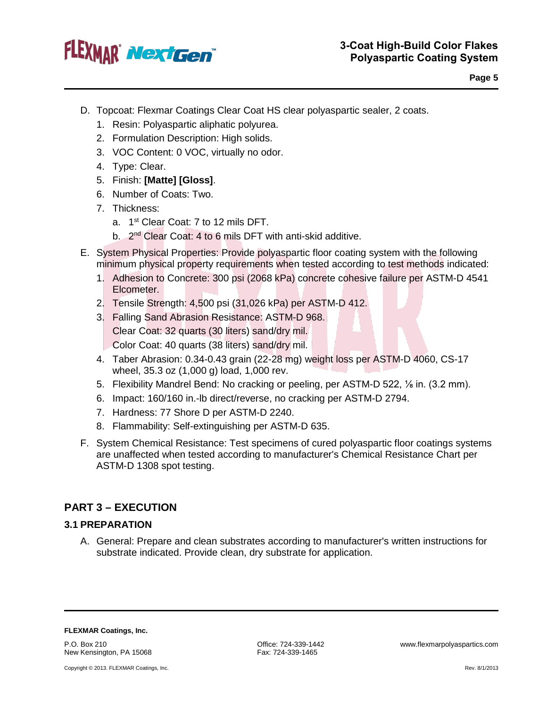

- D. Topcoat: Flexmar Coatings Clear Coat HS clear polyaspartic sealer, 2 coats.
	- 1. Resin: Polyaspartic aliphatic polyurea.
	- 2. Formulation Description: High solids.
	- 3. VOC Content: 0 VOC, virtually no odor.
	- 4. Type: Clear.
	- 5. Finish: **[Matte] [Gloss]**.
	- 6. Number of Coats: Two.
	- 7. Thickness:
		- a. 1<sup>st</sup> Clear Coat: 7 to 12 mils DFT.
		- b. 2nd Clear Coat: 4 to 6 mils DFT with anti-skid additive.
- E. System Physical Properties: Provide polyaspartic floor coating system with the following minimum physical property requirements when tested according to test methods indicated:
	- 1. Adhesion to Concrete: 300 psi (2068 kPa) concrete cohesive failure per ASTM-D 4541 Elcometer.
	- 2. Tensile Strength: 4,500 psi (31,026 kPa) per ASTM-D 412.
	- 3. Falling Sand Abrasion Resistance: ASTM-D 968. Clear Coat: 32 quarts (30 liters) sand/dry mil. Color Coat: 40 quarts (38 liters) sand/dry mil.
	- 4. Taber Abrasion: 0.34-0.43 grain (22-28 mg) weight loss per ASTM-D 4060, CS-17 wheel, 35.3 oz (1,000 g) load, 1,000 rev.
	- 5. Flexibility Mandrel Bend: No cracking or peeling, per ASTM-D 522, ⅛ in. (3.2 mm).
	- 6. Impact: 160/160 in.-lb direct/reverse, no cracking per ASTM-D 2794.
	- 7. Hardness: 77 Shore D per ASTM-D 2240.
	- 8. Flammability: Self-extinguishing per ASTM-D 635.
- F. System Chemical Resistance: Test specimens of cured polyaspartic floor coatings systems are unaffected when tested according to manufacturer's Chemical Resistance Chart per ASTM-D 1308 spot testing.

# **PART 3 – EXECUTION**

#### **3.1 PREPARATION**

A. General: Prepare and clean substrates according to manufacturer's written instructions for substrate indicated. Provide clean, dry substrate for application.

**FLEXMAR Coatings, Inc.**

P.O. Box 210<br>
New Kensington, PA 15068 The Society of Santa Contract 224-339-1465<br>
Fax: 724-339-1465 New Kensington, PA 15068

Copyright © 2013. FLEXMAR Coatings, Inc. **Rev. 8/1/2013 Rev. 8/1/2013**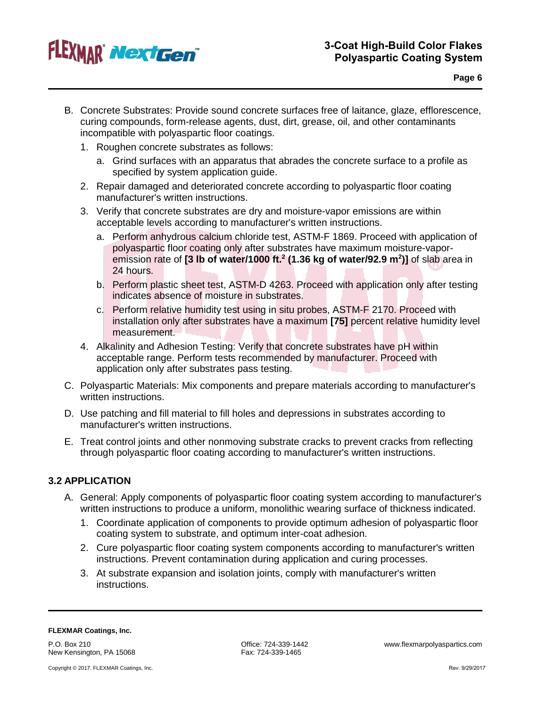# FLEXMAR Next Gen

- B. Concrete Substrates: Provide sound concrete surfaces free of laitance, glaze, efflorescence, curing compounds, form-release agents, dust, dirt, grease, oil, and other contaminants incompatible with polyaspartic floor coatings.
	- 1. Roughen concrete substrates as follows:
		- a. Grind surfaces with an apparatus that abrades the concrete surface to a profile as specified by system application guide.
	- 2. Repair damaged and deteriorated concrete according to polyaspartic floor coating manufacturer's written instructions.
	- 3. Verify that concrete substrates are dry and moisture-vapor emissions are within acceptable levels according to manufacturer's written instructions.
		- a. Perform anhydrous calcium chloride test, ASTM-F 1869. Proceed with application of polyaspartic floor coating only after substrates have maximum moisture-vaporemission rate of **[3 lb of water/1000 ft.2 (1.36 kg of water/92.9 m2 )]** of slab area in 24 hours.
		- b. Perform plastic sheet test, ASTM-D 4263. Proceed with application only after testing indicates absence of moisture in substrates.
		- c. Perform relative humidity test using in situ probes, ASTM-F 2170. Proceed with installation only after substrates have a maximum **[75]** percent relative humidity level measurement.
	- 4. Alkalinity and Adhesion Testing: Verify that concrete substrates have pH within acceptable range. Perform tests recommended by manufacturer. Proceed with application only after substrates pass testing.
- C. Polyaspartic Materials: Mix components and prepare materials according to manufacturer's written instructions.
- D. Use patching and fill material to fill holes and depressions in substrates according to manufacturer's written instructions.
- E. Treat control joints and other nonmoving substrate cracks to prevent cracks from reflecting through polyaspartic floor coating according to manufacturer's written instructions.

# **3.2 APPLICATION**

- A. General: Apply components of polyaspartic floor coating system according to manufacturer's written instructions to produce a uniform, monolithic wearing surface of thickness indicated.
	- 1. Coordinate application of components to provide optimum adhesion of polyaspartic floor coating system to substrate, and optimum inter-coat adhesion.
	- 2. Cure polyaspartic floor coating system components according to manufacturer's written instructions. Prevent contamination during application and curing processes.
	- 3. At substrate expansion and isolation joints, comply with manufacturer's written instructions.

#### **FLEXMAR Coatings, Inc.**

P.O. Box 210 New Kensington, PA 15068

Copyright © 2017. FLEXMAR Coatings, Inc.

Fax: 724-339-1465